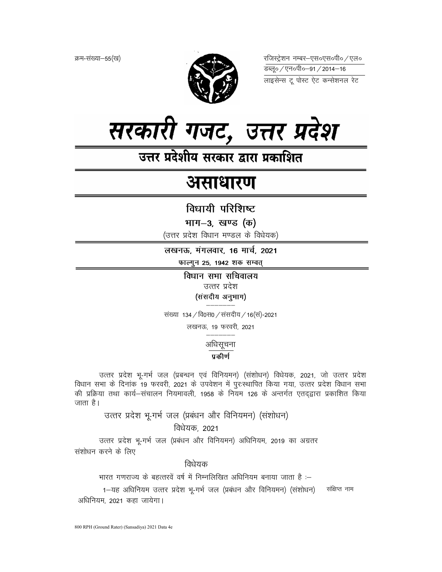क्रम-संख्या–55(ख)



रजिस्ट्रेशन नम्बर–एस०एस०पी० ⁄ एल० 



उत्तर प्रदेशीय सरकार द्वारा प्रकाशित

# असाधारण

विधायी परिशिष्ट

भाग–3, खण्ड (क)

(उत्तर प्रदेश विधान मण्डल के विधेयक)

लखनऊ, मंगलवार, 16 मार्च, 2021

फाल्गुन 25, 1942 शक सम्वत्

विधान सभा सचिवालय उत्तर प्रदेश (संसदीय अनुभाग)

संख्या 134 / वि0स0 / संसदीय / 16(सं)-2021

लखनऊ, 19 फरवरी, 2021

अधिसूचना

# प्रकीर्ण

उत्तर प्रदेश भ्-गर्भ जल (प्रबन्धन एवं विनियमन) (संशोधन) विधेयक, 2021, जो उत्तर प्रदेश विधान सभा के दिनांक 19 फरवरी, 2021 के उपवेशन में पुरःस्थापित किया गया, उत्तर प्रदेश विधान सभा की प्रक्रिया तथा कार्य–संचालन नियमावली, 1958 के नियम 126 के अन्तर्गत एतदद्वारा प्रकाशित किया जाता है।

उत्तर प्रदेश भू-गर्भ जल (प्रबंधन और विनियमन) (संशोधन)

विधेयक, 2021

उत्तर प्रदेश भू-गर्भ जल (प्रबंधन और विनियमन) अधिनियम, 2019 का अग्रतर संशोधन करने के लिए

विधेयक

भारत गणराज्य के बहत्तरवें वर्ष में निम्नलिखित अधिनियम बनाया जाता है :–

1-यह अधिनियम उत्तर प्रदेश भू-गर्भ जल (प्रबंधन और विनियमन) (संशोधन) संक्षिप्त नाम अधिनियम, 2021 कहा जायेगा।

800 RPH (Ground Rater) (Sansadiya) 2021 Data 4e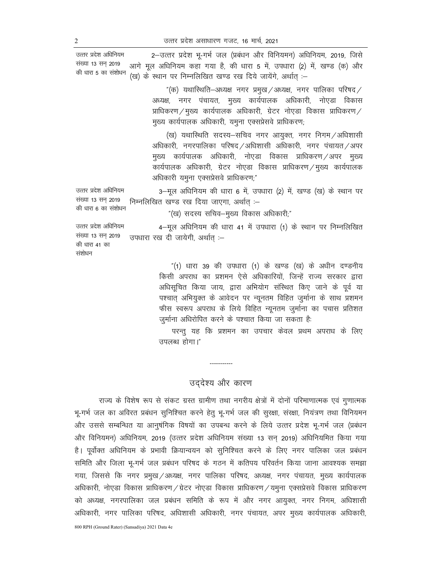उत्तर प्रदेश अधिनियम संख्या 13 सन् 2019 की धारा 5 का संशोधन

2-उत्तर प्रदेश भू-गर्भ जल (प्रबंधन और विनियमन) अधिनियम, 2019, जिसे आगे मूल अधिनियम कहा गया है, की धारा 5 में, उपधारा (2) में, खण्ड (क) और (ख) के स्थान पर निम्नलिखित खण्ड रख दिये जायेंगे, अर्थात् :-

> "(क) यथारिथति–अध्यक्ष नगर प्रमुख $\,$ अध्यक्ष, नगर पालिका परिषद $\,/\,$ अध्यक्ष, नगर पंचायत, मुख्य कार्यपालक अधिकारी, नोएडा विकास प्राधिकरण / मुख्य कार्यपालक अधिकारी, ग्रेटर नोएडा विकास प्राधिकरण / मुख्य कार्यपालक अधिकारी, यमुना एक्सप्रेसवे प्राधिकरण;

> (ख) यथास्थिति सदस्य-सचिव नगर आयुक्त, नगर निगम/अधिशासी अधिकारी, नगरपालिका परिषद /अधिशासी अधिकारी, नगर पंचायत /अपर मुख्य कार्यपालक अधिकारी, नोएडा विकास प्राधिकरण/अपर मुख्य कार्यपालक अधिकारी, ग्रेटर नोएडा विकास प्राधिकरण $\angle$ मुख्य कार्यपालक अधिकारी यमुना एक्सप्रेसवे प्राधिकरण;"

उत्तर प्रदेश अधिनियम संख्या 13 सन् 2019 की धारा 6 का संशोधन 3-मूल अधिनियम की धारा 6 में, उपधारा (2) में, खण्ड (ख) के स्थान पर निम्नलिखित खण्ड रख दिया जाएगा, अर्थात् :-

 $"$ (ख) सदस्य सचिव-मुख्य विकास अधिकारी; $"$ 

उत्तर प्रदेश अधिनियम संख्या 13 सन 2019 की धारा 41 का संशोधन उपधारा रख दी जायेगी, अर्थात् :-

> "(1) धारा 39 की उपधारा (1) के खण्ड (ख) के अधीन दण्डनीय किसी अपराध का प्रशमन ऐसे अधिकारियों, जिन्हें राज्य सरकार द्वारा अधिसूचित किया जाय, द्वारा अभियोग संस्थित किए जाने के पूर्व या पश्चात् अभियुक्त के आवेदन पर न्यूनतम विहित जुर्माना के साथ प्रशमन फीस स्वरूप अपराध के लिये विहित न्यूनतम जुर्माना का पचास प्रतिशत जुर्माना अधिरोपित करने के पश्चात किया जा सकता है:

> 4-मूल अधिनियम की धारा 41 में उपधारा (1) के स्थान पर निम्नलिखित

परन्तु यह कि प्रशमन का उपचार केवल प्रथम अपराध के लिए उपलब्ध होगा।"

# उद्देश्य और कारण

-----------

राज्य के विशेष रूप से संकट ग्रस्त ग्रामीण तथा नगरीय क्षेत्रों में दोनों परिमाणात्मक एवं गुणात्मक भू-गर्भ जल का अविरत प्रबंधन सुनिश्चित करने हेतु भू-गर्भ जल की सुरक्षा, संरक्षा, नियंत्रण तथा विनियमन ओर उससे सम्बन्धित या आनुषंगिक विषयों का उपबन्ध करने के लिये उत्तर प्रदेश भू-गर्भ जल (प्रबंधन और विनियमन) अधिनियम, 2019 (उत्तर प्रदेश अधिनियम संख्या 13 सन् 2019) अधिनियमित किया गया है। पूर्वोक्त अधिनियम के प्रभावी क्रियान्वयन को सुनिश्चित करने के लिए नगर पालिका जल प्रबंधन समिति और जिला भू-गर्भ जल प्रबंधन परिषद के गठन में कतिपय परिवर्तन किया जाना आवश्यक समझा गया, जिससे कि नगर प्रमुख / अध्यक्ष, नगर पालिका परिषद, अध्यक्ष, नगर पंचायत, मुख्य कार्यपालक अधिकारी, नोएडा विकास प्राधिकरण / ग्रेटर नोएडा विकास प्राधिकरण / यमुना एक्सप्रेसवे विकास प्राधिकरण को अध्यक्ष, नगरपालिका जल प्रबंधन समिति के रूप में और नगर आयुक्त, नगर निगम, अधिशासी अधिकारी, नगर पालिका परिषद, अधिशासी अधिकारी, नगर पंचायत, अपर मुख्य कार्यपालक अधिकारी,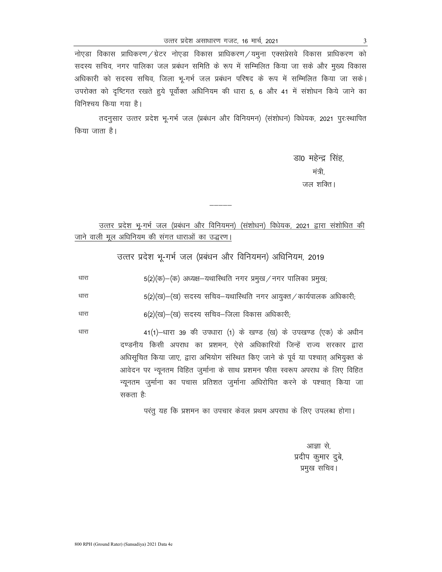नोएडा विकास प्राधिकरण / ग्रेटर नोएडा विकास प्राधिकरण / यमुना एक्सप्रेसवे विकास प्राधिकरण को सदस्य सचिव, नगर पालिका जल प्रबंधन समिति के रूप में सम्मिलित किया जा सके और मुख्य विकास अधिकारी को सदस्य सचिव, जिला भू-गर्भ जल प्रबंधन परिषद के रूप में सम्मिलित किया जा सके। उपरोक्त को दृष्टिगत रखते हुये पूर्वोक्त अधिनियम की धारा 5, 6 और 41 में संशोधन किये जाने का विनिश्चय किया गया है।

तदनुसार उत्तर प्रदेश भू-गर्भ जल (प्रबंधन और विनियमन) (संशोधन) विधेयक, 2021 पुरःस्थापित किया जाता है।

> डा0 महेन्द्र सिंह, मंत्री. जल शक्ति ।

उत्तर प्रदेश भू-गर्भ जल (प्रबंधन और विनियमन) (संशोधन) विधेयक, 2021 द्वारा संशोधित की <u>जाने वाली मूल अधिनियम की संगत धाराओं का उद्धरण।</u>

उत्तर प्रदेश भू-गर्भ जल (प्रबंधन और विनियमन) अधिनियम, 2019

 $5(2)(\overline{\sigma})$ -(क) अध्यक्ष-यथारिशति नगर प्रमुख / नगर पालिका प्रमुख; धारा

 $5(2)(\overline{u})$ -(ख) सदस्य सचिव-यथारिथति नगर आयुक्त / कार्यपालक अधिकारी; धारा

धारा 6(2)(ख)–(ख) सदस्य सचिव–जिला विकास अधिकारी;

> 41(1) -धारा 39 की उपधारा (1) के खण्ड (ख) के उपखण्ड (एक) के अधीन दण्डनीय किसी अपराध का प्रशमन, ऐसे अधिकारियों जिन्हें राज्य सरकार द्वारा अधिसूचित किया जाए, द्वारा अभियोग संस्थित किए जाने के पूर्व या पश्चात् अभियुक्त के आवेदन पर न्यूनतम विहित जुर्माना के साथ प्रशमन फीस स्वरूप अपराध के लिए विहित न्यूनतम जुर्माना का पचास प्रतिशत जुर्माना अधिरोपित करने के पश्चात् किया जा सकता है:

> > परंतु यह कि प्रशमन का उपचार केवल प्रथम अपराध के लिए उपलब्ध होगा।

आज्ञा से. प्रदीप कुमार दुबे, प्रमुख सचिव।

धारा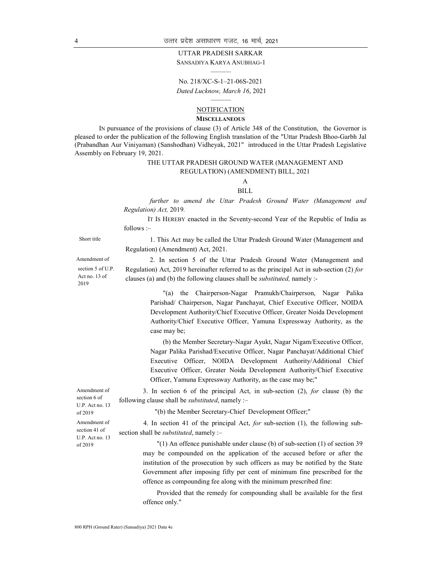#### UTTAR PRADESH SARKAR

SANSADIYA KARYA ANUBHAG-1 ———

No. 218/XC-S-1–21-06S-2021 Dated Lucknow, March 16, 2021

# ——— NOTIFICATION

#### **MISCELLANEOUS**

IN pursuance of the provisions of clause (3) of Article 348 of the Constitution, the Governor is pleased to order the publication of the following English translation of the "Uttar Pradesh Bhoo-Garbh Jal (Prabandhan Aur Viniyaman) (Sanshodhan) Vidheyak, 2021" introduced in the Uttar Pradesh Legislative Assembly on February 19, 2021.

## THE UTTAR PRADESH GROUND WATER (MANAGEMENT AND REGULATION) (AMENDMENT) BILL, 2021

# A

## BILL

 further to amend the Uttar Pradesh Ground Water (Management and Regulation) Act, 2019.

 IT IS HEREBY enacted in the Seventy-second Year of the Republic of India as follows :–

Short title 1. This Act may be called the Uttar Pradesh Ground Water (Management and Regulation) (Amendment) Act, 2021.

Amendment of section 5 of U.P. Act no. 13 of 2019

2. In section 5 of the Uttar Pradesh Ground Water (Management and Regulation) Act, 2019 hereinafter referred to as the principal Act in sub-section (2) for clauses (a) and (b) the following clauses shall be substituted, namely :-

> "(a) the Chairperson-Nagar Pramukh/Chairperson, Nagar Palika Parishad/ Chairperson, Nagar Panchayat, Chief Executive Officer, NOIDA Development Authority/Chief Executive Officer, Greater Noida Development Authority/Chief Executive Officer, Yamuna Expressway Authority, as the case may be;

> (b) the Member Secretary-Nagar Ayukt, Nagar Nigam/Executive Officer, Nagar Palika Parishad/Executive Officer, Nagar Panchayat/Additional Chief Executive Officer, NOIDA Development Authority/Additional Chief Executive Officer, Greater Noida Development Authority/Chief Executive Officer, Yamuna Expressway Authority, as the case may be;"

3. In section 6 of the principal Act, in sub-section (2), for clause (b) the following clause shall be *substituted*, namely :-

"(b) the Member Secretary-Chief Development Officer;"

4. In section 41 of the principal Act, for sub-section (1), the following subsection shall be *substituted*, namely :-

"(1) An offence punishable under clause (b) of sub-section (1) of section 39 may be compounded on the application of the accused before or after the institution of the prosecution by such officers as may be notified by the State Government after imposing fifty per cent of minimum fine prescribed for the offence as compounding fee along with the minimum prescribed fine:

Provided that the remedy for compounding shall be available for the first offence only."

Amendment of section 6 of U.P. Act no. 13 of 2019 Amendment of section 41 of

U.P. Act no. 13 of 2019

800 RPH (Ground Rater) (Sansadiya) 2021 Data 4e